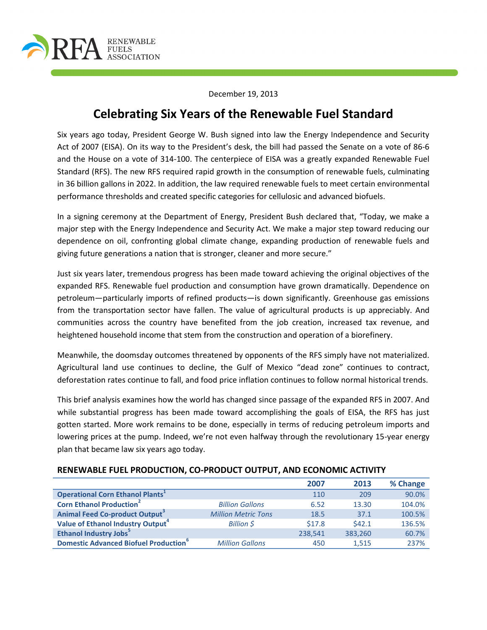

December 19, 2013

# **Celebrating Six Years of the Renewable Fuel Standard**

Six years ago today, President George W. Bush signed into law the Energy Independence and Security Act of 2007 (EISA). On its way to the President's desk, the bill had passed the Senate on a vote of 86-6 and the House on a vote of 314-100. The centerpiece of EISA was a greatly expanded Renewable Fuel Standard (RFS). The new RFS required rapid growth in the consumption of renewable fuels, culminating in 36 billion gallons in 2022. In addition, the law required renewable fuels to meet certain environmental performance thresholds and created specific categories for cellulosic and advanced biofuels.

In a signing ceremony at the Department of Energy, President Bush declared that, "Today, we make a major step with the Energy Independence and Security Act. We make a major step toward reducing our dependence on oil, confronting global climate change, expanding production of renewable fuels and giving future generations a nation that is stronger, cleaner and more secure."

Just six years later, tremendous progress has been made toward achieving the original objectives of the expanded RFS. Renewable fuel production and consumption have grown dramatically. Dependence on petroleum—particularly imports of refined products—is down significantly. Greenhouse gas emissions from the transportation sector have fallen. The value of agricultural products is up appreciably. And communities across the country have benefited from the job creation, increased tax revenue, and heightened household income that stem from the construction and operation of a biorefinery.

Meanwhile, the doomsday outcomes threatened by opponents of the RFS simply have not materialized. Agricultural land use continues to decline, the Gulf of Mexico "dead zone" continues to contract, deforestation rates continue to fall, and food price inflation continues to follow normal historical trends.

This brief analysis examines how the world has changed since passage of the expanded RFS in 2007. And while substantial progress has been made toward accomplishing the goals of EISA, the RFS has just gotten started. More work remains to be done, especially in terms of reducing petroleum imports and lowering prices at the pump. Indeed, we're not even halfway through the revolutionary 15-year energy plan that became law six years ago today.

|                                               |                            | 2007    | 2013    | % Change |
|-----------------------------------------------|----------------------------|---------|---------|----------|
| <b>Operational Corn Ethanol Plants</b>        |                            | 110     | 209     | 90.0%    |
| <b>Corn Ethanol Production<sup>2</sup></b>    | <b>Billion Gallons</b>     | 6.52    | 13.30   | 104.0%   |
| Animal Feed Co-product Output <sup>3</sup>    | <b>Million Metric Tons</b> | 18.5    | 37.1    | 100.5%   |
| Value of Ethanol Industry Output <sup>4</sup> | Billion S                  | \$17.8  | 542.1   | 136.5%   |
| <b>Ethanol Industry Jobs</b> <sup>5</sup>     |                            | 238,541 | 383,260 | 60.7%    |
| <b>Domestic Advanced Biofuel Production</b> ° | <b>Million Gallons</b>     | 450     | 1.515   | 237%     |

#### **RENEWABLE FUEL PRODUCTION, CO-PRODUCT OUTPUT, AND ECONOMIC ACTIVITY**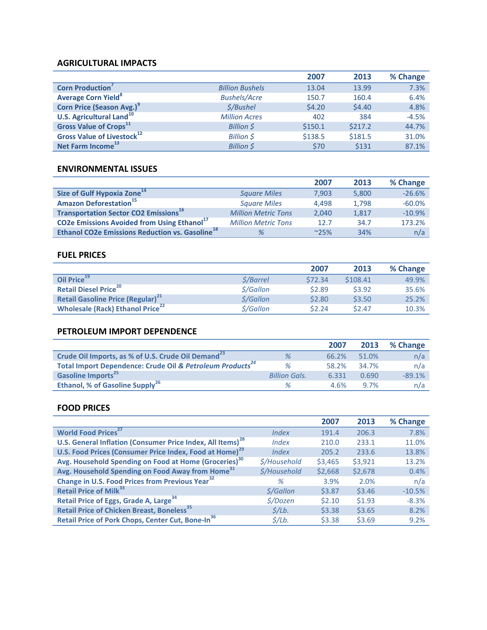#### **AGRICULTURAL IMPACTS**

|                                            |                        | 2007    | 2013    | % Change |
|--------------------------------------------|------------------------|---------|---------|----------|
| <b>Corn Production</b>                     | <b>Billion Bushels</b> | 13.04   | 13.99   | 7.3%     |
| <b>Average Corn Yield<sup>8</sup></b>      | <b>Bushels/Acre</b>    | 150.7   | 160.4   | 6.4%     |
| Corn Price (Season Avg.) <sup>9</sup>      | \$/Bushel              | \$4.20  | \$4.40  | 4.8%     |
| <b>U.S. Agricultural Land<sup>10</sup></b> | <b>Million Acres</b>   | 402     | 384     | $-4.5%$  |
| <b>Gross Value of Crops</b> <sup>11</sup>  | Billion \$             | \$150.1 | \$217.2 | 44.7%    |
| Gross Value of Livestock <sup>12</sup>     | Billion \$             | \$138.5 | \$181.5 | 31.0%    |
| Net Farm Income <sup>13</sup>              | <b>Billion \$</b>      | \$70    | \$131   | 87.1%    |

#### **ENVIRONMENTAL ISSUES**

|                                                                    |                            | 2007          | 2013  | % Change |
|--------------------------------------------------------------------|----------------------------|---------------|-------|----------|
| Size of Gulf Hypoxia Zone <sup>14</sup>                            | <b>Square Miles</b>        | 7.903         | 5,800 | $-26.6%$ |
| <b>Amazon Deforestation</b> <sup>15</sup>                          | <b>Square Miles</b>        | 4.498         | 1.798 | $-60.0%$ |
| <b>Transportation Sector CO2 Emissions</b> <sup>16</sup>           | <b>Million Metric Tons</b> | 2.040         | 1.817 | $-10.9%$ |
| <b>CO2e Emissions Avoided from Using Ethanol</b> <sup>17</sup>     | <b>Million Metric Tons</b> | 12.7          | 34.7  | 173.2%   |
| <b>Ethanol CO2e Emissions Reduction vs. Gasoline</b> <sup>18</sup> | %                          | $^{\sim}25\%$ | 34%   | n/a      |

# **FUEL PRICES**

|                                                      |                                   | 2007    | 2013     | % Change |
|------------------------------------------------------|-----------------------------------|---------|----------|----------|
| Oil Price <sup>19</sup>                              | \$/Barrel                         | \$72.34 | \$108.41 | 49.9%    |
| <b>Retail Diesel Price<sup>20</sup></b>              | $\frac{\zeta}{\mathcal{G}}$ allon | \$2.89  | \$3.92   | 35.6%    |
| <b>Retail Gasoline Price (Regular)</b> <sup>21</sup> | $\frac{\zeta}{\mathcal{G}}$ allon | \$2.80  | \$3.50   | 25.2%    |
| <b>Wholesale (Rack) Ethanol Price</b> <sup>22</sup>  | $\frac{\zeta}{\mathcal{G}}$ allon | \$2.24  | \$2.47   | 10.3%    |

# **PETROLEUM IMPORT DEPENDENCE**

|                                                                       |                      | 2007  | 2013  | % Change |
|-----------------------------------------------------------------------|----------------------|-------|-------|----------|
| Crude Oil Imports, as % of U.S. Crude Oil Demand <sup>23</sup>        | %                    | 66.2% | 51.0% | n/a      |
| Total Import Dependence: Crude Oil & Petroleum Products <sup>24</sup> | $\%$                 | 58.2% | 34.7% | n/a      |
| Gasoline Imports <sup>25</sup>                                        | <b>Billion Gals.</b> | 6.331 | 0.690 | $-89.1%$ |
| Ethanol, % of Gasoline Supply <sup>26</sup>                           | %                    | 4.6%  | 97%   | n/a      |

# **FOOD PRICES**

|                                                                        |                            | 2007    | 2013    | % Change |
|------------------------------------------------------------------------|----------------------------|---------|---------|----------|
| World Food Prices <sup>27</sup>                                        | Index                      | 191.4   | 206.3   | 7.8%     |
| U.S. General Inflation (Consumer Price Index, All Items) <sup>28</sup> | <i><u><b>Index</b></u></i> | 210.0   | 233.1   | 11.0%    |
| U.S. Food Prices (Consumer Price Index, Food at Home) <sup>29</sup>    | <i><u><b>Index</b></u></i> | 205.2   | 233.6   | 13.8%    |
| Avg. Household Spending on Food at Home (Groceries) <sup>30</sup>      | <i><b>S/Household</b></i>  | \$3,465 | \$3,921 | 13.2%    |
| Avg. Household Spending on Food Away from Home <sup>31</sup>           | \$/Household               | \$2,668 | \$2,678 | 0.4%     |
| Change in U.S. Food Prices from Previous Year <sup>32</sup>            | %                          | 3.9%    | 2.0%    | n/a      |
| <b>Retail Price of Milk</b> <sup>33</sup>                              | <i><b>S/Gallon</b></i>     | \$3.87  | \$3.46  | $-10.5%$ |
| Retail Price of Eggs, Grade A, Large <sup>34</sup>                     | <i><b>S/Dozen</b></i>      | \$2.10  | \$1.93  | $-8.3%$  |
| <b>Retail Price of Chicken Breast, Boneless</b> <sup>35</sup>          | $\frac{\zeta}{Lb}$ .       | \$3.38  | \$3.65  | 8.2%     |
| Retail Price of Pork Chops, Center Cut, Bone-In <sup>36</sup>          | $\frac{\zeta}{Lb}$ .       | \$3.38  | \$3.69  | 9.2%     |